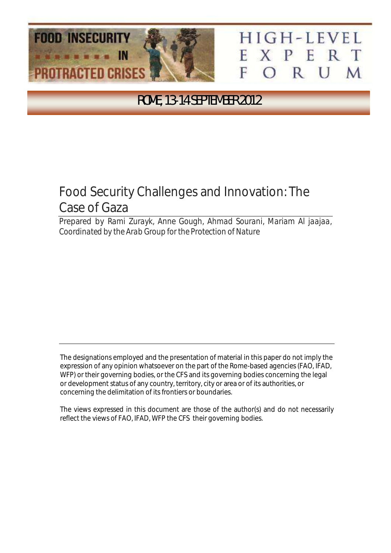

## HIGH-LEVEL XPERT н F ORUM

ROME, 13-14 SEPTEMBER 2012

# Food Security Challenges and Innovation: The Case of Gaza

Prepared by *Rami Zurayk, Anne Gough, Ahmad Sourani, Mariam Al jaajaa, Coordinated by the Arab Group for the Protection of Nature*

The designations employed and the presentation of material in this paper do not imply the expression of any opinion whatsoever on the part of the Rome-based agencies (FAO, IFAD, WFP) or their governing bodies, or the CFS and its governing bodies concerning the legal or development status of any country, territory, city or area or of its authorities, or concerning the delimitation of its frontiers or boundaries.

The views expressed in this document are those of the author(s) and do not necessarily reflect the views of FAO, IFAD, WFP the CFS their governing bodies.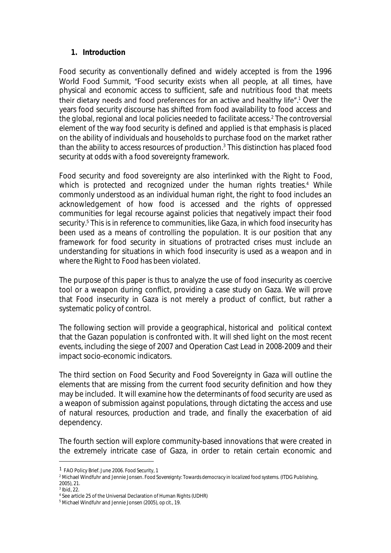## *1. Introduction*

Food security as conventionally defined and widely accepted is from the 1996 World Food Summit, "Food security exists when all people, at all times, have physical and economic access to sufficient, safe and nutritious food that meets their dietary needs and food preferences for an active and healthy life".<sup>1</sup> Over the years food security discourse has shifted from food availability to food access and the global, regional and local policies needed to facilitate access.<sup>2</sup> The controversial element of the way food security is defined and applied is that emphasis is placed on the ability of individuals and households to purchase food on the market rather than the ability to access resources of production.<sup>3</sup> This distinction has placed food security at odds with a food sovereignty framework.

Food security and food sovereignty are also interlinked with the Right to Food, which is protected and recognized under the human rights treaties. <sup>4</sup> While commonly understood as an individual human right, the right to food includes an acknowledgement of how food is accessed and the rights of oppressed communities for legal recourse against policies that negatively impact their food security.<sup>5</sup> This is in reference to communities, like Gaza, in which food insecurity has been used as a means of controlling the population. It is our position that any framework for food security in situations of protracted crises must include an understanding for situations in which food insecurity is used as a weapon and in where the Right to Food has been violated.

The purpose of this paper is thus to analyze the use of food insecurity as coercive tool or a weapon during conflict, providing a case study on Gaza. We will prove that Food insecurity in Gaza is not merely a product of conflict, but rather a systematic policy of control.

The following section will provide a geographical, historical and political context that the Gazan population is confronted with. It will shed light on the most recent events, including the siege of 2007 and Operation Cast Lead in 2008-2009 and their impact socio-economic indicators.

The third section on Food Security and Food Sovereignty in Gaza will outline the elements that are missing from the current food security definition and how they may be included. It will examine how the determinants of food security are used as a weapon of submission against populations, through dictating the access and use of natural resources, production and trade, and finally the exacerbation of aid dependency.

The fourth section will explore community-based innovations that were created in the extremely intricate case of Gaza, in order to retain certain economic and

<sup>1</sup> FAO Policy Brief. June 2006. *Food Security*, 1

<sup>2</sup> Michael Windfuhr and Jennie Jonsen. *Food Sovereignty: Towards democracy in localized food systems*. (ITDG Publishing, 2005), 21.

 $3$  Ibid, 22.

<sup>4</sup> See article 25 of the Universal Declaration of Human Rights (UDHR)

<sup>5</sup> Michael Windfuhr and Jennie Jonsen (2005), *op cit.*, 19.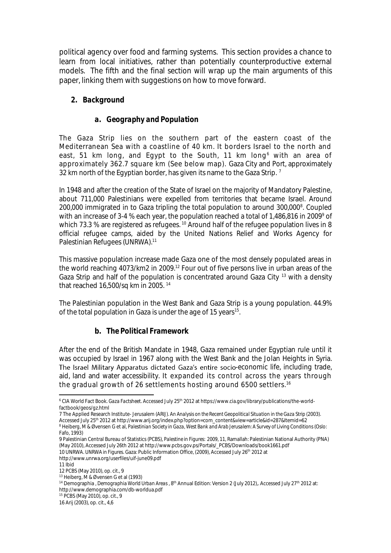political agency over food and farming systems. This section provides a chance to learn from local initiatives, rather than potentially counterproductive external models. The fifth and the final section will wrap up the main arguments of this paper, linking them with suggestions on how to move forward.

## *2. Background*

#### *a. Geography and Population*

The Gaza Strip lies on the southern part of the eastern coast of the Mediterranean Sea with a coastline of 40 km. It borders Israel to the north and east, 51 km long, and Egypt to the South, 11 km long<sup>6</sup> with an area of approximately 362.7 square km (See below map). Gaza City and Port, approximately 32 km north of the Egyptian border, has given its name to the Gaza Strip.<sup>7</sup>

In 1948 and after the creation of the State of Israel on the majority of Mandatory Palestine, about 711,000 Palestinians were expelled from territories that became Israel. Around 200,000 immigrated in to Gaza tripling the total population to around 300,000<sup>8</sup>. Coupled with an increase of 3-4 % each year, the population reached a total of 1,486,816 in 2009<sup>9</sup> of which 73.3 % are registered as refugees.<sup>10</sup> Around half of the refugee population lives in 8 official refugee camps, aided by the United Nations Relief and Works Agency for Palestinian Refugees (UNRWA).<sup>11</sup>

This massive population increase made Gaza one of the most densely populated areas in the world reaching 4073/km2 in 2009.<sup>12</sup> Four out of five persons live in urban areas of the Gaza Strip and half of the population is concentrated around Gaza City <sup>13</sup> with a density that reached 16,500/sq km in 2005. <sup>14</sup>

The Palestinian population in the West Bank and Gaza Strip is a young population. 44.9% of the total population in Gaza is under the age of 15 years $^{\scriptscriptstyle 15}$ .

## *b. The Political Framework*

After the end of the British Mandate in 1948, Gaza remained under Egyptian rule until it was occupied by Israel in 1967 along with the West Bank and the Jolan Heights in Syria. The Israel Military Apparatus dictated Gaza's entire socio-economic life, including trade, aid, land and water accessibility. It expanded its control across the years through the gradual growth of 26 settlements hosting around 6500 settlers. 16

- 7 The Applied Research Institute- Jerusalem (ARIJ). *An Analysis on the Recent Geopolitical Situation in the Gaza Strip (*2003).
- Accessed July 25th 2012 at http://www.arij.org/index.php?option=com\_content&view=article&id=287&Itemid=62

 $\overline{a}$ <sup>6</sup> CIA World Fact Book. *Gaza Factsheet*. Accessed July 25th 2012 at https://www.cia.gov/library/publications/the-worldfactbook/geos/gz.html

<sup>8</sup> Heiberg, M & Øvensen G et al, *Palestinian Society in Gaza, West Bank and Arab Jerusalem: A Survey of Living Conditions* (Oslo: Fafo, 1993)

<sup>9</sup> Palestinian Central Bureau of Statistics (PCBS), *Palestine in Figures: 2009*, 11, Ramallah: Palestinian National Authority (PNA) (May 2010), Accessed July 26th 2012 at http://www.pcbs.gov.ps/Portals/\_PCBS/Downloads/book1661.pdf

<sup>10</sup> UNRWA. *UNRWA in Figures*. Gaza: Public Information Office, (2009), Accessed July 26th 2012 at

http://www.unrwa.org/userfiles/uif-june09.pdf

 $11$  ibid

<sup>12</sup> PCBS (May 2010), op. cit., 9

<sup>13</sup> Heiberg, M & Øvensen G et al (1993)

<sup>&</sup>lt;sup>14</sup> Demographia , *Demographia World Urban Areas* , 8<sup>th</sup> Annual Edition: Version 2 (July 2012),. Accessed July 27<sup>th</sup> 2012 at: http://www.demographia.com/db-worldua.pdf

<sup>15</sup> PCBS (May 2010), op. cit., 9

<sup>16</sup> Arij (2003), op. cit., 4,6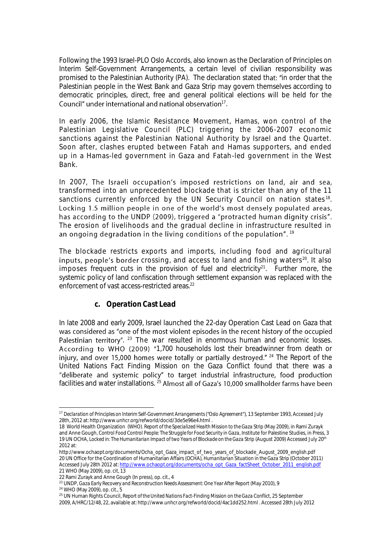Following the 1993 Israel-PLO Oslo Accords, also known as the Declaration of Principles on Interim Self-Government Arrangements, a certain level of civilian responsibility was promised to the Palestinian Authority (PA). The declaration stated that: "in order that the Palestinian people in the West Bank and Gaza Strip may govern themselves according to democratic principles, direct, free and general political elections will be held for the  $\frac{1}{2}$ 

In early 2006, the Islamic Resistance Movement, Hamas, won control of the Palestinian Legislative Council (PLC) triggering the 2006-2007 economic sanctions against the Palestinian National Authority by Israel and the Quartet. Soon after, clashes erupted between Fatah and Hamas supporters, and ended up in a Hamas-led government in Gaza and Fatah-led government in the West Bank.

In 2007, The Israeli occupation's imposed restrictions on land, air and sea, transformed into an unprecedented blockade that is stricter than any of the 11 sanctions currently enforced by the UN Security Council on nation states<sup>18</sup>. Locking 1.5 million people in one of the world's most densely populated areas, has according to the UNDP (2009), triggered a "protracted human dignity crisis". The erosion of livelihoods and the gradual decline in infrastructure resulted in an ongoing degradation in the living conditions of the population".  $19$ 

The blockade restricts exports and imports, including food and agricultural inputs, people's border crossing, and access to land and fishing waters<sup>20</sup>. It also imposes frequent cuts in the provision of fuel and electricity<sup>21</sup>. Further more, the systemic policy of land confiscation through settlement expansion was replaced with the enforcement of vast access-restricted areas.<sup>22</sup>

#### *c. Operation Cast Lead*

In late 2008 and early 2009, Israel launched the 22-day Operation Cast Lead on Gaza that was considered as "one of the most violent episodes in the recent history of the occupied .<sup>23</sup> The war resulted in enormous human and economic losses. According to WHO (2009) "1,700 households lost their breadwinner from death or injury, and over 15,000 homes were totally or partially destroyed."  $24$  The Report of the United Nations Fact Finding Mission on the Gaza Conflict found that there was a "deliberate and systemic policy" to target industrial infrastructure, food production facilities and water installations.<sup>25</sup> Almost all of Gaza's 10,000 smallholder farms have been

 $\overline{a}$ <sup>17</sup> *Declaration of Principles on Interim Self-Government Arrangements ("Oslo Agreement*"), 13 September 1993, Accessed July 28th, 2012 at: http://www.unhcr.org/refworld/docid/3de5e96e4.html .

<sup>18</sup> World Health Organization (WHO). *Report of the Specialized Health Mission to the Gaza Strip* (May 2009), in Rami Zurayk and Anne Gough, *Control Food Control People: The Struggle for Food Security in Gaza*, Institute for Palestine Studies, in Press, 3 19 UN OCHA, *Locked in: The Humanitarian Impact of two Years of Blockade on the Gaza Strip* (August 2009) Accessed July 20<sup>th</sup> 2012 at:

http://www.ochaopt.org/documents/Ocha\_opt\_Gaza\_impact\_of\_two\_years\_of\_blockade\_August\_2009\_english.pdf 20 UN Office for the Coordination of Humanitarian Affairs (OCHA), *Humanitarian Situation in the Gaza Strip* (October 2011) Accessed July 28th 2012 at[: http://www.ochaopt.org/documents/ocha\\_opt\\_Gaza\\_factSheet\\_October\\_2011\\_english.pdf](http://www.ochaopt.org/documents/ocha_opt_Gaza_factSheet_October_2011_english.pdf) 21 WHO (May 2009), op. cit, 13

<sup>22</sup> Rami Zurayk and Anne Gough (In press), op. cit., 4

<sup>23</sup> UNDP, *Gaza Early Recovery and Reconstruction Needs Assessment: One Year After Report* (May 2010), 9

<sup>24</sup> WHO (May 2009), op. cit., 5

<sup>25</sup> UN Human Rights Council, *Report of the United Nations Fact-Finding Mission on the Gaza Conflict*, 25 September 2009, A/HRC/12/48, 22, available at: http://www.unhcr.org/refworld/docid/4ac1dd252.html . Accessed 28th July 2012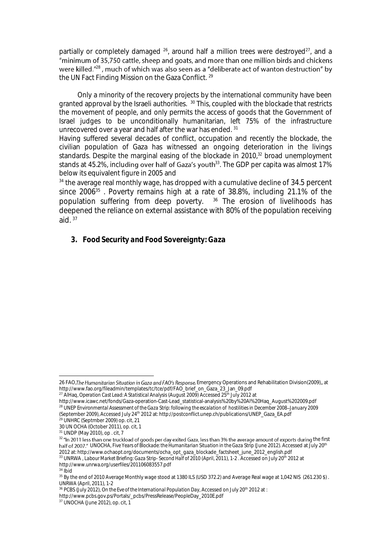partially or completely damaged <sup>26</sup>, around half a million trees were destroyed<sup>27</sup>, and a were killed.<sup>"28</sup>, much of which was also seen as a "deliberate act of wanton destruction" by the UN Fact Finding Mission on the Gaza Conflict. <sup>29</sup>

Only a minority of the recovery projects by the international community have been granted approval by the Israeli authorities. <sup>30</sup> This, coupled with the blockade that restricts the movement of people, and only permits the access of goods that the Government of Israel judges to be unconditionally humanitarian, left 75% of the infrastructure unrecovered over a year and half after the war has ended. <sup>31</sup>

Having suffered several decades of conflict, occupation and recently the blockade, the civilian population of Gaza has witnessed an ongoing deterioration in the livings standards. Despite the marginal easing of the blockade in 2010,<sup>32</sup> broad unemployment stands at 45.2%, inclu**ding over half of Gaza's youth**<sup>33</sup>. The GDP per capita was almost 17% below its equivalent figure in 2005 and

<sup>34</sup> the average real monthly wage, has dropped with a cumulative decline of 34.5 percent since 2006<sup>35</sup> . Poverty remains high at a rate of 38.8%, including 21.1% of the population suffering from deep poverty. <sup>36</sup> The erosion of livelihoods has deepened the reliance on external assistance with 80% of the population receiving aid.  $37$ 

*3. Food Security and Food Sovereignty: Gaza*

<sup>26</sup> FAO, The Humanitarian Situation in Gaza and FAO's Response, Emergency Operations and Rehabilitation Division(2009),, at http://www.fao.org/fileadmin/templates/tc/tce/pdf/FAO\_brief\_on\_Gaza\_23\_Jan\_09.pdf

<sup>&</sup>lt;sup>27</sup> AlHaq, *Operation Cast Lead: A Statistical Analysis* (August 2009) Accessed 25<sup>th</sup> July 2012 at

http://www.icawc.net/fonds/Gaza-operation-Cast-Lead\_statistical-analysis%20by%20Al%20Haq\_August%202009.pdf <sup>28</sup> UNEP *Environmental Assessment of the Gaza Strip: following the escalation of hostilities in December 2008 January 2009*  (September 2009), Accessed July 24th 2012 at*:* http://postconflict.unep.ch/publications/UNEP\_Gaza\_EA.pdf

<sup>&</sup>lt;sup>29</sup> UNHRC (Septmber 2009) op. cit, 21 30 UN OCHA (October 2011), op. cit, 1

<sup>31</sup> UNDP (May 2010), op . cit*, 7*

<sup>32 &</sup>quot;In 2011 less than one truckload of goods per day exited Gaza, less than 3% the average amount of exports during the first half of 2007." UNOCHA, *Five Years of Blockade: the Humanitarian Situation in the Gaza Strip* (June 2012). Accessed at July 20<sup>th</sup> 2012 at: http://www.ochaopt.org/documents/ocha\_opt\_gaza\_blockade\_factsheet\_june\_2012\_english.pdf

<sup>33</sup> UNRWA , *Labour Market Briefing: Gaza Strip- Second Half of 2010* (April, 2011), 1-2 . Accessed on July 20th 2012 at

http://www.unrwa.org/userfiles/201106083557.pdf  $34$  Ibid

<sup>&</sup>lt;sup>35</sup> By the end of 2010 Average Monthly wage stood at 1380 ILS (USD 372.2) and Average Real wage at 1,042 NIS (261.230 \$). UNRWA (April, 2011), 1-2

<sup>&</sup>lt;sup>36</sup> PCBS (July 2012), *On the Eve of the International Population Day*, Accessed on July 20<sup>th</sup> 2012 at :

http://www.pcbs.gov.ps/Portals/\_pcbs/PressRelease/PeopleDay\_2010E.pdf

<sup>37</sup> UNOCHA (June 2012), op. cit, 1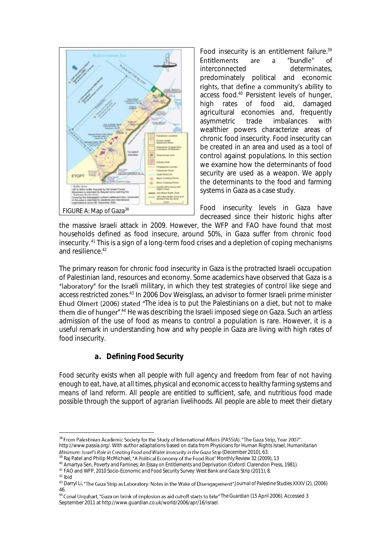

Food insecurity is an entitlement failure.<sup>39</sup> Entitlements are  $\mathsf{a}$ "bundle" οf interconnected determinates, predominately political and economic rights, that define a community's ability to access food.<sup>40</sup> Persistent levels of hunger, high rates of food aid, damaged agricultural economies and, frequently<br>asymmetric trade imbalances with asymmetric trade wealthier powers characterize areas of chronic food insecurity. Food insecurity can be created in an area and used as a tool of control against populations. In this section we examine how the determinants of food security are used as a weapon. We apply the determinants to the food and farming systems in Gaza as a case study.

Food insecurity levels in Gaza have decreased since their historic highs after

the massive Israeli attack in 2009. However, the WFP and FAO have found that most households defined as food insecure, around 50%, in Gaza suffer from chronic food insecurity. <sup>41</sup> This is a sign of a long-term food crises and a depletion of coping mechanisms and resilience.<sup>42</sup>

The primary reason for chronic food insecurity in Gaza is the protracted Israeli occupation of Palestinian land, resources and economy. Some academics have observed that Gaza is a "laboratory" for the Israeli military, in which they test strategies of control like siege and access restricted zones. <sup>43</sup> In 2006 Dov Weisglass, an advisor to former Israeli prime minister Ehud Olmert (2006) stated "The idea is to put the Palestinians on a diet, but not to make them die of hunger".<sup>44</sup> He was describing the Israeli imposed siege on Gaza. Such an artless admission of the use of food as means to control a population is rare. However, it is a useful remark in understanding how and why people in Gaza are living with high rates of food insecurity.

#### *a. Defining Food Security*

*Food security exists when all people with full agency and freedom from fear of not having enough to eat, have, at all times, physical and economic access to healthy farming systems and means of land reform. All people are entitled to sufficient, safe, and nutritious food made possible through the support of agrarian livelihoods. All people are able to meet their dietary* 

 $\overline{a}$ <sup>38</sup> From Palestinian Academic Society for the Study of International Affairs (PASSIA). "The Gaza Strip, Year 2007". http://www.passia.org/. With author adaptations based on data from Physicians for Human Rights Israel, *Humanitarian*  Minimum: Israel's Role in Creating Food and Water Insecurity in the Gaza Strip (December 2010), 63.

<sup>&</sup>lt;sup>39</sup> Raj Patel and Philip McMichael, "A Political Economy of the Food Riot" Monthly Review 32 (2009), 13

<sup>40</sup> Amartya Sen, *Poverty and Famines: An Essay on Entitlements and Deprivation* (Oxford: Clarendon Press, 1981).

<sup>&</sup>lt;sup>41</sup> FAO and WFP, 2010 Socio-Economic and Food Security Survey: West Bank and Gaza Strip (2011), 8.

<sup>42</sup> Ibid

<sup>&</sup>lt;sup>43</sup> Darryl Li, "The Gaza Strip as Laboratory: Notes in the Wake of Disengagement" Journal of Palestine Studies XXXV (2), (2006)

<sup>46.&</sup>lt;br><sup>44</sup> Conal Urquhart, "Gaza on brink of implosion as aid cut-off starts to bite" *The Guardian* (15 April 2006). Accessed 3 September 2011 at http://www.guardian.co.uk/world/2006/apr/16/israel.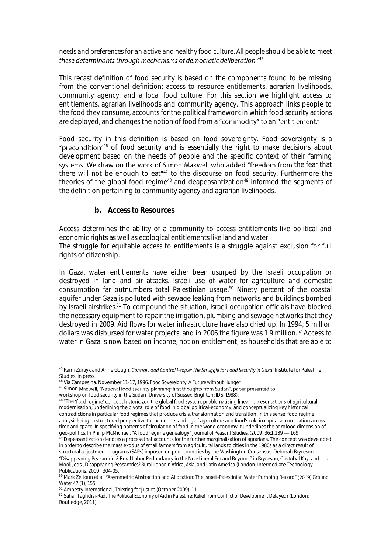#### *needs and preferences for an active and healthy food culture. All people should be able to meet*  these determinants through mechanisms of democratic deliberation.<sup>745</sup>

This recast definition of food security is based on the components found to be missing from the conventional definition: access to resource entitlements, agrarian livelihoods, community agency, and a local food culture. For this section we highlight access to entitlements, agrarian livelihoods and community agency. This approach links people to the food they consume, accounts for the political framework in which food security actions are deployed, and changes the notion of food from a "commodity" to an "entitlement."

Food security in this definition is based on food sovereignty. Food sovereignty is a "precondition"<sup>46</sup> of food security and is essentially the right to make decisions about development based on the needs of people and the specific context of their farming systems. We draw on the work of Simon Maxwell who added "freedom from the fear that there will not be enough to eat<sup>"47</sup> to the discourse on food security. Furthermore the theories of the global food regime<sup>48</sup> and deapeasantization<sup>49</sup> informed the segments of the definition pertaining to community agency and agrarian livelihoods.

#### *b. Access to Resources*

Access determines the ability of a community to access entitlements like political and economic rights as well as ecological entitlements like land and water.

The struggle for equitable access to entitlements is a struggle against exclusion for full rights of citizenship.

In Gaza, water entitlements have either been usurped by the Israeli occupation or destroyed in land and air attacks. Israeli use of water for agriculture and domestic consumption far outnumbers total Palestinian usage.<sup>50</sup> Ninety percent of the coastal aquifer under Gaza is polluted with sewage leaking from networks and buildings bombed by Israeli airstrikes.<sup>51</sup> To compound the situation, Israeli occupation officials have blocked the necessary equipment to repair the irrigation, plumbing and sewage networks that they destroyed in 2009. Aid flows for water infrastructure have also dried up. In 1994, 5 million dollars was disbursed for water projects, and in 2006 the figure was 1.9 million.<sup>52</sup> Access to water in Gaza is now based on income, not on entitlement, as households that are able to

<sup>&</sup>lt;sup>45</sup> Rami Zurayk and Anne Gough. Control Food Control People: The Struggle for Food Security in Gaza" Institute for Palestine Studies, in press.

<sup>46</sup> Via Campesina. November 11-17, 1996. *Food Sovereignty: A Future without Hunger*

<sup>47</sup> Simon Maxwell, "National food security planning: first thoughts from Sudan", paper presented to

workshop on food security in the Sudan (University of Sussex, Brighton: IDS, 1988).

<sup>48 &</sup>quot;The 'food regime' concept historicized the global food system: problematising linear representations of agricultural modernisation, underlining the pivotal role of food in global political-economy, and conceptualizing key historical contradictions in particular food regimes that produce crisis, transformation and transition. In this sense, food regime<br>analysis brings a structured perspective to the understanding of agriculture and food's role in capit time and space. In specifying patterns of circulation of food in the world economy it underlines the agrofood dimension of geo-politics. In Philip McMichael, "A food regime genealogy" *Journal of Peasant Studies*, (2009) 36:1,139 — 169

 $\rm ^{49}$  Depeasantization denotes a process that accounts for the further marginalization of agrarians. The concept was developed in order to describe the mass exodus of small farmers from agricultural lands to cities in the 1980s as a direct result of structural adjustment programs (SAPs) imposed on poor countries by the Washington Consensus. Deborah Bryceson

<sup>&</sup>quot;Disappearing Peasantries? Rural Labor Redundancy in the Neo-Liberal Era and Beyond," in Bryceson, Cristobal Kay, and Jos Mooij, eds., *Disappearing Peasantries? Rural Labor in Africa, Asia, and Latin America* (London: Intermediate Technology Publications, 2000), 304-05.

<sup>50</sup> Mark Zeitoun et al, "Asymmetric Abstraction and Allocation: The Israeli-Palestinian Water Pumping Record" (2009) Ground *Water* 47 (1), 155

<sup>51</sup> Amnesty International, *Thirsting for Justice* (October 2009), 11

<sup>52</sup> Sahar Taghdisi-Rad, *The Political Economy of Aid in Palestine: Relief from Conflict or Development Delayed?* (London: Routledge, 2011).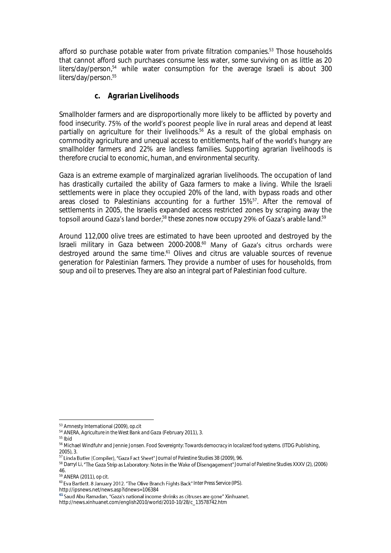afford so purchase potable water from private filtration companies.<sup>53</sup> Those households that cannot afford such purchases consume less water, some surviving on as little as 20 liters/day/person, <sup>54</sup> while water consumption for the average Israeli is about 300 liters/day/person.<sup>55</sup>

#### *c. Agrarian Livelihoods*

Smallholder farmers and are disproportionally more likely to be afflicted by poverty and food insecurity. 75% of the world's poorest people live in rural areas and depend at least partially on agriculture for their livelihoods. <sup>56</sup> As a result of the global emphasis on commodity agriculture and unequal access to entitlements, half of the world's hungry are smallholder farmers and 22% are landless families. Supporting agrarian livelihoods is therefore crucial to economic, human, and environmental security.

Gaza is an extreme example of marginalized agrarian livelihoods. The occupation of land has drastically curtailed the ability of Gaza farmers to make a living. While the Israeli settlements were in place they occupied 20% of the land, with bypass roads and other areas closed to Palestinians accounting for a further 15%<sup>57</sup>. After the removal of settlements in 2005, the Israelis expanded access restricted zones by scraping away the topsoil around Gaza's land border,<sup>58</sup> these zones now occupy 29% of Gaza's arable land.<sup>59</sup>

Around 112,000 olive trees are estimated to have been uprooted and destroyed by the Israeli military in Gaza between  $2000-2008.^{60}$  Many of Gaza's citrus orchards were destroyed around the same time.<sup>61</sup> Olives and citrus are valuable sources of revenue generation for Palestinian farmers. They provide a number of uses for households, from soup and oil to preserves. They are also an integral part of Palestinian food culture.

46. <sup>59</sup> ANERA (2011), *op cit.* 

http://ipsnews.net/news.asp?idnews=106384

 $\overline{a}$ <sup>53</sup> Amnesty International (2009), *op.cit*

<sup>54</sup> ANERA, *Agriculture in the West Bank and Gaza* (February 2011), 3.

<sup>55</sup> Ibid

<sup>56</sup> Michael Windfuhr and Jennie Jonsen. *Food Sovereignty: Towards democracy in localized food systems*. (ITDG Publishing, 2005), 3.

<sup>&</sup>lt;sup>57</sup> Linda Butler (Compiler), "Gaza Fact Sheet" Journal of Palestine Studies 38 (2009), 96.

<sup>58</sup> Darryl Li, "The Gaza Strip as Laboratory: Notes in the Wake of Disengagement" Journal of Palestine Studies XXXV (2), (2006)

<sup>&</sup>lt;sup>60</sup> Eva Bartlett. 8 January 2012. "The Olive Branch Fights Back" Inter Press Service (IPS).

<sup>&</sup>lt;sup>61</sup> Saud Abu Ramadan, "Gaza's national income shrinks as citruses are gone" Xinhuanet.

http://news.xinhuanet.com/english2010/world/2010-10/28/c\_13578742.htm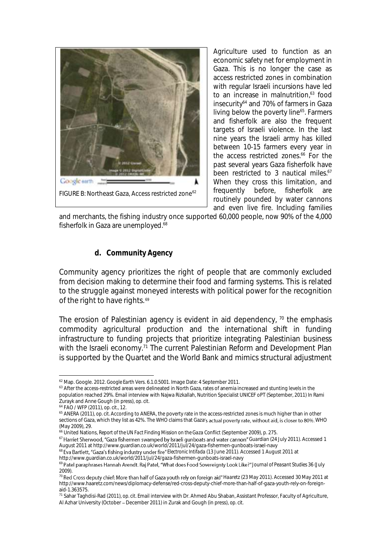

Agriculture used to function as an economic safety net for employment in Gaza. This is no longer the case as access restricted zones in combination with regular Israeli incursions have led to an increase in malnutrition, <sup>63</sup> food insecurity<sup>64</sup> and 70% of farmers in Gaza living below the poverty line<sup>65</sup>. Farmers and fisherfolk are also the frequent targets of Israeli violence. In the last nine years the Israeli army has killed between 10-15 farmers every year in the access restricted zones.<sup>66</sup> For the past several years Gaza fisherfolk have been restricted to 3 nautical miles.<sup>67</sup> When they cross this limitation, and frequently before, fisherfolk are routinely pounded by water cannons and even live fire. Including families

and merchants, the fishing industry once supported 60,000 people, now 90% of the 4,000 fisherfolk in Gaza are unemployed.<sup>68</sup>

#### *d. Community Agency*

Community agency prioritizes the right of people that are commonly excluded from decision making to determine their food and farming systems. This is related to the struggle against moneyed interests with political power for the recognition of the right to have rights. 69

The erosion of Palestinian agency is evident in aid dependency,  $70$  the emphasis commodity agricultural production and the international shift in funding infrastructure to funding projects that prioritize integrating Palestinian business with the Israeli economy.<sup>71</sup> The current Palestinian Reform and Development Plan is supported by the Quartet and the World Bank and mimics structural adjustment

 $\overline{a}$ <sup>62</sup> Map. Google. 2012. *Google Earth* Vers. 6.1.0.5001. Image Date: 4 September 2011.

<sup>63</sup> After the access-restricted areas were delineated in North Gaza, rates of anemia increased and stunting levels in the population reached 29%. Email interview with Najwa Rizkallah, Nutrition Specialist UNICEF oPT (September, 2011) In Rami Zurayk and Anne Gough (in press), *op. cit.* 

<sup>64</sup> FAO / WFP (2011), *op. cit.,* 12.

<sup>65</sup> ANERA (2011), *op. cit.* According to ANERA, the poverty rate in the access-restricted zones is much higher than in other sections of Gaza, which they list as 42%. The WHO claims that Gaza's actual poverty rate, without aid, is closer to 80%. WHO (May 2009), 29.

<sup>66</sup> United Nations, *Report of the UN Fact Finding Mission on the Gaza Conflict* (September 2009), p. 275.

<sup>&</sup>lt;sup>67</sup> Harriet Sherwood, "Gaza fishermen swamped by Israeli gunboats and water cannon" Guardian (24 July 2011). Accessed 1 August 2011 at http://www.guardian.co.uk/world/2011/jul/24/gaza-fishermen-gunboats-israel-navy

<sup>&</sup>lt;sup>68</sup> Eva Bartlett, "Gaza's fishing industry under fire" *Electronic Intifada* (13 June 2011). Accessed 1 August 2011 at http://www.guardian.co.uk/world/2011/jul/24/gaza-fishermen-gunboats-israel-navy

<sup>69</sup> Patel paraphrases Hannah Arendt. Raj Patel, "What does Food Sovereignty Look Like?" Journal of Peasant Studies 36 (July 2009).

<sup>&</sup>lt;sup>70</sup> Red Cross deputy chief: More than half of Gaza youth rely on foreign aid" Haaretz (23 May 2011). Accessed 30 May 2011 at http://www.haaretz.com/news/diplomacy-defense/red-cross-deputy-chief-more-than-half-of-gaza-youth-rely-on-foreignaid-1.363575.

<sup>71</sup> Sahar Taghdisi-Rad (2011), *op. cit*. Email interview with Dr. Ahmed Abu Shaban, Assistant Professor, Faculty of Agriculture, Al Azhar University (October - December 2011) in Zurak and Gough (in press), op. cit.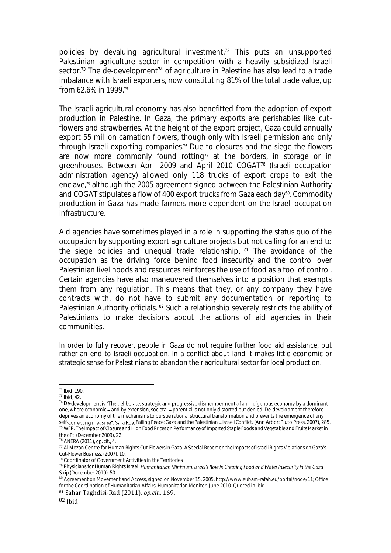policies by devaluing agricultural investment.<sup>72</sup> This puts an unsupported Palestinian agriculture sector in competition with a heavily subsidized Israeli sector.<sup>73</sup> The de-development<sup>74</sup> of agriculture in Palestine has also lead to a trade imbalance with Israeli exporters, now constituting 81% of the total trade value, up from 62.6% in 1999.<sup>75</sup>

The Israeli agricultural economy has also benefitted from the adoption of export production in Palestine. In Gaza, the primary exports are perishables like cutflowers and strawberries. At the height of the export project, Gaza could annually export 55 million carnation flowers, though only with Israeli permission and only through Israeli exporting companies. <sup>76</sup> Due to closures and the siege the flowers are now more commonly found rotting<sup> $77$ </sup> at the borders, in storage or in greenhouses. Between April 2009 and April 2010 COGAT<sup>78</sup> (Israeli occupation administration agency) allowed only 118 trucks of export crops to exit the enclave,<sup>79</sup> although the 2005 agreement signed between the Palestinian Authority and COGAT stipulates a flow of 400 export trucks from Gaza each day<sup>80</sup>. Commodity production in Gaza has made farmers more dependent on the Israeli occupation infrastructure.

Aid agencies have sometimes played in a role in supporting the status quo of the occupation by supporting export agriculture projects but not calling for an end to the siege policies and unequal trade relationship. <sup>81</sup> The avoidance of the occupation as the driving force behind food insecurity and the control over Palestinian livelihoods and resources reinforces the use of food as a tool of control. Certain agencies have also maneuvered themselves into a position that exempts them from any regulation. This means that they, or any company they have contracts with, do not have to submit any documentation or reporting to Palestinian Authority officials. <sup>82</sup> Such a relationship severely restricts the ability of Palestinians to make decisions about the actions of aid agencies in their communities.

In order to fully recover, people in Gaza do not require further food aid assistance, but rather an end to Israeli occupation. In a conflict about land it makes little economic or strategic sense for Palestinians to abandon their agricultural sector for local production.

<sup>72</sup> Ibid, 190.

<sup>73</sup> Ibid, 42.

 $74$  De-development is "The deliberate, strategic and progressive dismemberment of an indigenous economy by a dominant one, where economic - and by extension, societal - potential is not only distorted but denied. De-development therefore deprives an economy of the mechanisms to pursue rational structural transformation and prevents the emergence of any self-correcting measure". Sara Roy, Failing Peace: Gaza and the Palestinian - Israeli Conflict. (Ann Arbor: Pluto Press, 2007), 285. <sup>75</sup> WFP. *The Impact of Closure and High Food Prices on Performance of Imported Staple Foods and Vegetable and Fruits Market in the oPt.* (December 2009), 22.

<sup>76</sup> ANERA (2011), *op. cit.*, 4.

<sup>77</sup> Al Mezan Centre for Human Rights *Cut-Flowers in Gaza: A Special Report on the Impacts of Israeli Rights Violations on Gaza's Cut-Flower Business*. (2007), 10.

<sup>78</sup> Coordinator of Government Activities in the Territories

<sup>79</sup> Physicians for Human Rights Israel, Humanitarian Minimum: Israel's Role in Creating Food and Water Insecurity in the Gaza *Strip* (December 2010), 50.

<sup>80</sup> Agreement on Movement and Access, signed on November 15, 2005, http://www.eubam-rafah.eu/portal/node/11; Office for the Coordination of Humanitarian Affairs, Humanitarian Monitor, June 2010. Quoted in Ibid.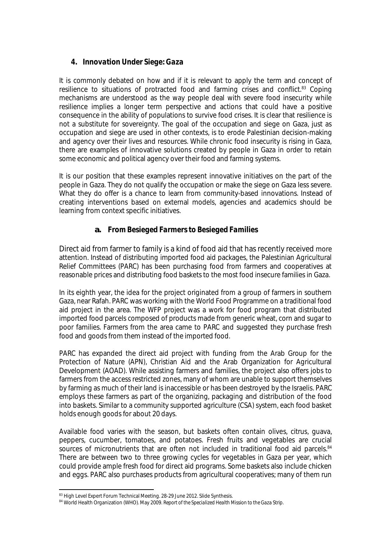## *4. Innovation Under Siege: Gaza*

It is commonly debated on how and if it is relevant to apply the term and concept of resilience to situations of protracted food and farming crises and conflict.<sup>83</sup> Coping mechanisms are understood as the way people deal with severe food insecurity while resilience implies a longer term perspective and actions that could have a positive consequence in the ability of populations to survive food crises. It is clear that resilience is not a substitute for sovereignty. The goal of the occupation and siege on Gaza, just as occupation and siege are used in other contexts, is to erode Palestinian decision-making and agency over their lives and resources. While chronic food insecurity is rising in Gaza, there are examples of innovative solutions created by people in Gaza in order to retain some economic and political agency over their food and farming systems.

It is our position that these examples represent innovative initiatives on the part of the people in Gaza. They do not qualify the occupation or make the siege on Gaza less severe. What they do offer is a chance to learn from community-based innovations. Instead of creating interventions based on external models, agencies and academics should be learning from context specific initiatives.

## **a.** *From Besieged Farmers to Besieged Families*

Direct aid from farmer to family is a kind of food aid that has recently received more attention. Instead of distributing imported food aid packages, the Palestinian Agricultural Relief Committees (PARC) has been purchasing food from farmers and cooperatives at reasonable prices and distributing food baskets to the most food insecure families in Gaza.

In its eighth year, the idea for the project originated from a group of farmers in southern Gaza, near Rafah. PARC was working with the World Food Programme on a traditional food aid project in the area. The WFP project was a work for food program that distributed imported food parcels composed of products made from generic wheat, corn and sugar to poor families. Farmers from the area came to PARC and suggested they purchase fresh food and goods from them instead of the imported food.

PARC has expanded the direct aid project with funding from the Arab Group for the Protection of Nature (APN), Christian Aid and the Arab Organization for Agricultural Development (AOAD). While assisting farmers and families, the project also offers jobs to farmers from the access restricted zones, many of whom are unable to support themselves by farming as much of their land is inaccessible or has been destroyed by the Israelis. PARC employs these farmers as part of the organizing, packaging and distribution of the food into baskets. Similar to a community supported agriculture (CSA) system, each food basket holds enough goods for about 20 days.

Available food varies with the season, but baskets often contain olives, citrus, guava, peppers, cucumber, tomatoes, and potatoes. Fresh fruits and vegetables are crucial sources of micronutrients that are often not included in traditional food aid parcels.<sup>84</sup> There are between two to three growing cycles for vegetables in Gaza per year, which could provide ample fresh food for direct aid programs. Some baskets also include chicken and eggs. PARC also purchases products from agricultural cooperatives; many of them run

 <sup>83</sup> High Level Expert Forum Technical Meeting. 28-29 June 2012. Slide Synthesis.

<sup>84</sup> World Health Organization (WHO). May 2009. *Report of the Specialized Health Mission to the Gaza Strip*.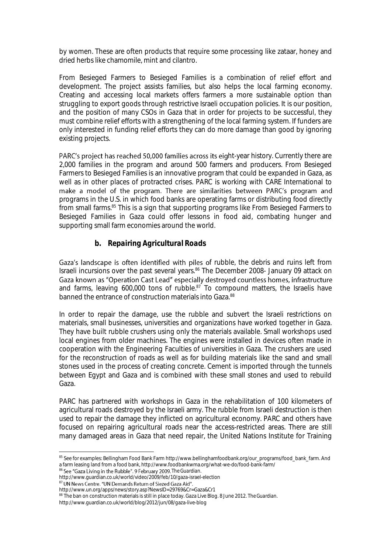by women. These are often products that require some processing like zataar, honey and dried herbs like chamomile, mint and cilantro.

From Besieged Farmers to Besieged Families is a combination of relief effort and development. The project assists families, but also helps the local farming economy. Creating and accessing local markets offers farmers a more sustainable option than struggling to export goods through restrictive Israeli occupation policies. It is our position, and the position of many CSOs in Gaza that in order for projects to be successful, they must combine relief efforts with a strengthening of the local farming system. If funders are only interested in funding relief efforts they can do more damage than good by ignoring existing projects.

PARC's project has reached 50,000 families across its eight-year history. Currently there are 2,000 families in the program and around 500 farmers and producers. From Besieged Farmers to Besieged Families is an innovative program that could be expanded in Gaza, as well as in other places of protracted crises. PARC is working with CARE International to make a model of the program. There are similarities between PARC's program and programs in the U.S. in which food banks are operating farms or distributing food directly from small farms.<sup>85</sup> This is a sign that supporting programs like From Besieged Farmers to Besieged Families in Gaza could offer lessons in food aid, combating hunger and supporting small farm economies around the world.

#### *b. Repairing Agricultural Roads*

Gaza's landscape is often identified with piles of rubble, the debris and ruins left from Israeli incursions over the past several years.<sup>86</sup> The December 2008- January 09 attack on<br>Gaza known as "Operation Cast Lead" especially destroyed countless homes, infrastructure and farms, leaving  $600,000$  tons of rubble.<sup>87</sup> To compound matters, the Israelis have banned the entrance of construction materials into Gaza.<sup>88</sup>

In order to repair the damage, use the rubble and subvert the Israeli restrictions on materials, small businesses, universities and organizations have worked together in Gaza. They have built rubble crushers using only the materials available. Small workshops used local engines from older machines. The engines were installed in devices often made in cooperation with the Engineering Faculties of universities in Gaza. The crushers are used for the reconstruction of roads as well as for building materials like the sand and small stones used in the process of creating concrete. Cement is imported through the tunnels between Egypt and Gaza and is combined with these small stones and used to rebuild Gaza.

PARC has partnered with workshops in Gaza in the rehabilitation of 100 kilometers of agricultural roads destroyed by the Israeli army. The rubble from Israeli destruction is then used to repair the damage they inflicted on agricultural economy. PARC and others have focused on repairing agricultural roads near the access-restricted areas. There are still many damaged areas in Gaza that need repair, the United Nations Institute for Training

86 See "Gaza Living in the Rubble". 9 February 2009. The Guardian.

87 UN News Centre. "UN Demands Return of Siezed Gaza Aid".

 $\overline{a}$ <sup>85</sup> See for examples: Bellingham Food Bank Farm http://www.bellinghamfoodbank.org/our\_programs/food\_bank\_farm. And a farm leasing land from a food bank, http://www.foodbankwma.org/what-we-do/food-bank-farm/

http://www.guardian.co.uk/world/video/2009/feb/10/gaza-israel-election

http://www.un.org/apps/news/story.asp?NewsID=29769&Cr=Gaza&Cr1

<sup>88</sup> The ban on construction materials is still in place today. Gaza Live Blog. 8 June 2012. *The Guardian*. http://www.guardian.co.uk/world/blog/2012/jun/08/gaza-live-blog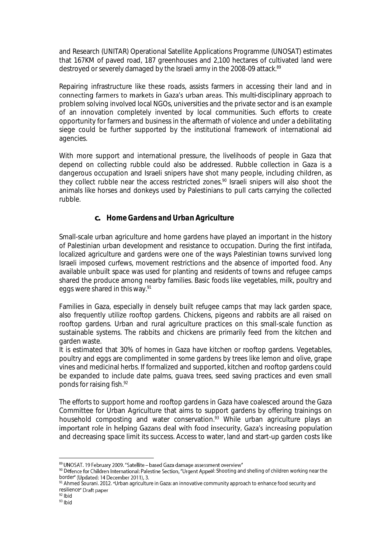and Research (UNITAR) Operational Satellite Applications Programme (UNOSAT) estimates that 167KM of paved road, 187 greenhouses and 2,100 hectares of cultivated land were destroyed or severely damaged by the Israeli army in the 2008-09 attack.<sup>89</sup>

Repairing infrastructure like these roads, assists farmers in accessing their land and in connecting farmers to markets in Gaza's urban areas. This multi-disciplinary approach to problem solving involved local NGOs, universities and the private sector and is an example of an innovation completely invented by local communities. Such efforts to create opportunity for farmers and business in the aftermath of violence and under a debilitating siege could be further supported by the institutional framework of international aid agencies.

With more support and international pressure, the livelihoods of people in Gaza that depend on collecting rubble could also be addressed. Rubble collection in Gaza is a dangerous occupation and Israeli snipers have shot many people, including children, as they collect rubble near the access restricted zones.<sup>90</sup> Israeli snipers will also shoot the animals like horses and donkeys used by Palestinians to pull carts carrying the collected rubble.

#### **c.** *Home Gardens and Urban Agriculture*

Small-scale urban agriculture and home gardens have played an important in the history of Palestinian urban development and resistance to occupation. During the first intifada, localized agriculture and gardens were one of the ways Palestinian towns survived long Israeli imposed curfews, movement restrictions and the absence of imported food. Any available unbuilt space was used for planting and residents of towns and refugee camps shared the produce among nearby families. Basic foods like vegetables, milk, poultry and eggs were shared in this way.<sup>91</sup>

Families in Gaza, especially in densely built refugee camps that may lack garden space, also frequently utilize rooftop gardens. Chickens, pigeons and rabbits are all raised on rooftop gardens. Urban and rural agriculture practices on this small-scale function as sustainable systems. The rabbits and chickens are primarily feed from the kitchen and garden waste.

It is estimated that 30% of homes in Gaza have kitchen or rooftop gardens. Vegetables, poultry and eggs are complimented in some gardens by trees like lemon and olive, grape vines and medicinal herbs. If formalized and supported, kitchen and rooftop gardens could be expanded to include date palms, guava trees, seed saving practices and even small ponds for raising fish.<sup>92</sup>

The efforts to support home and rooftop gardens in Gaza have coalesced around the Gaza Committee for Urban Agriculture that aims to support gardens by offering trainings on household composting and water conservation.<sup>93</sup> While urban agriculture plays an important role in helping Gazans deal with food insecurity, Gaza's increasing population and decreasing space limit its success. Access to water, land and start-up garden costs like

e<br>89

<sup>90</sup> Defence for Children International: Palestine Section, "Urgent Appeal: Shooting and shelling of children working near the border" (Updated: 14 December 2011), 3.

<sup>91</sup> Ahmed Sourani. 2012. "Urban agriculture in Gaza: an innovative community approach to enhance food security and resilience" Draft paper

 $92$  Ibid

 $93$  Ibid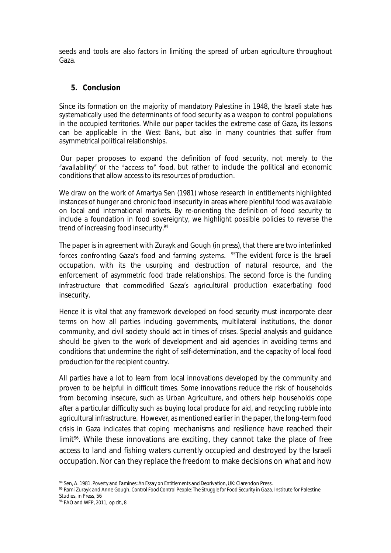seeds and tools are also factors in limiting the spread of urban agriculture throughout Gaza.

#### *5. Conclusion*

Since its formation on the majority of mandatory Palestine in 1948, the Israeli state has systematically used the determinants of food security as a weapon to control populations in the occupied territories. While our paper tackles the extreme case of Gaza, its lessons can be applicable in the West Bank, but also in many countries that suffer from asymmetrical political relationships.

Our paper proposes to expand the definition of food security, not merely to the "availability" or the "access to" food, but rather to include the political and economic conditions that allow access to its resources of production.

We draw on the work of Amartya Sen (1981) whose research in entitlements highlighted instances of hunger and chronic food insecurity in areas where plentiful food was available on local and international markets. By re-orienting the definition of food security to include a foundation in food sovereignty, we highlight possible policies to reverse the trend of increasing food insecurity*. 94*

The paper is in agreement with Zurayk and Gough (in press), that there are two interlinked forces confronting Gaza's food and farming systems. <sup>95</sup>The evident force is the Israeli occupation, with its the usurping and destruction of natural resource, and the enforcement of asymmetric food trade relationships. The second force is the funding infrastructure that commodified Gaza's agricultural production exacerbating food insecurity.

Hence it is vital that any framework developed on food security must incorporate clear terms on how all parties including governments, multilateral institutions, the donor community, and civil society should act in times of crises. Special analysis and guidance should be given to the work of development and aid agencies in avoiding terms and conditions that undermine the right of self-determination, and the capacity of local food production for the recipient country.

All parties have a lot to learn from local innovations developed by the community and proven to be helpful in difficult times. Some innovations reduce the risk of households from becoming insecure, such as Urban Agriculture, and others help households cope after a particular difficulty such as buying local produce for aid, and recycling rubble into agricultural infrastructure. However, as mentioned earlier in the paper, the long-term food crisis in Gaza indicates that coping mechanisms and resilience have reached their limit<sup>%</sup>. While these innovations are exciting, they cannot take the place of free access to land and fishing waters currently occupied and destroyed by the Israeli occupation. Nor can they replace the freedom to make decisions on what and how

 $\overline{a}$ <sup>94</sup> Sen, A. 1981. *Poverty and Famines: An Essay on Entitlements and Deprivation,* UK: Clarendon Press.

<sup>95</sup> Rami Zurayk and Anne Gough, *Control Food Control People: The Struggle for Food Security in Gaza*, Institute for Palestine Studies, in Press, 56

<sup>96</sup> FAO and WFP, *2011, op cit., 8*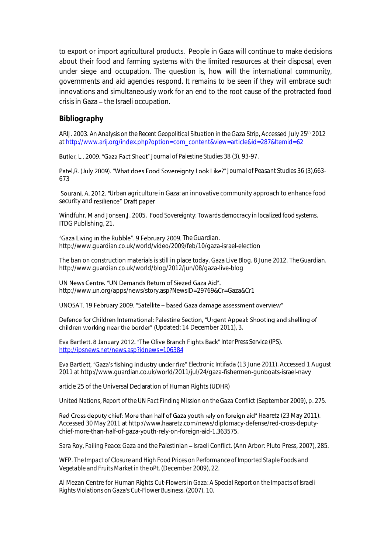to export or import agricultural products. People in Gaza will continue to make decisions about their food and farming systems with the limited resources at their disposal, even under siege and occupation. The question is, how will the international community, governments and aid agencies respond. It remains to be seen if they will embrace such innovations and simultaneously work for an end to the root cause of the protracted food crisis in Gaza - the Israeli occupation.

#### *Bibliography*

ARIJ. 2003. *An Analysis on the Recent Geopolitical Situation in the Gaza Strip*, Accessed July 25th 2012 a[t http://www.arij.org/index.php?option=com\\_content&view=article&id=287&Itemid=62](http://www.arij.org/index.php?option=com_content&view=article&id=287&Itemid=62)

Butler, L. 2009. "Gaza Fact Sheet" Journal of Palestine Studies 38 (3), 93-97.

Patel, R. (July 2009). "What does Food Sovereignty Look Like?" Journal of Peasant Studies 36 (3), 663-673

Sourani, A. 2012. "Urban agriculture in Gaza: an innovative community approach to enhance food security and resilience" Draft paper

Windfuhr, M and Jonsen,J. 2005. *Food Sovereignty: Towards democracy in localized food systems*. ITDG Publishing, 21.

"Gaza Living in the Rubble". 9 February 2009. The Guardian. http://www.guardian.co.uk/world/video/2009/feb/10/gaza-israel-election

The ban on construction materials is still in place today. Gaza Live Blog. 8 June 2012. *The Guardian*. http://www.guardian.co.uk/world/blog/2012/jun/08/gaza-live-blog

#### UN News Centre. "UN Demands Return of Siezed Gaza Aid".

http://www.un.org/apps/news/story.asp?NewsID=29769&Cr=Gaza&Cr1

UNOSAT. 19 February 2009. "Satellite - based Gaza damage assessment overview"

Defence for Children International: Palestine Section, "Urgent Appeal: Shooting and shelling of children working near the border" (Updated: 14 December 2011), 3.

**Eva Bartlett. 8 January 2012. "The Olive Branch Fights Back" Inter Press Service (IPS).** <http://ipsnews.net/news.asp?idnews=106384>

Eva Bartlett, "Gaza's fishing industry under fire" *Electronic Intifada* (13 June 2011). Accessed 1 August 2011 at http://www.guardian.co.uk/world/2011/jul/24/gaza-fishermen-gunboats-israel-navy

article 25 of the Universal Declaration of Human Rights (UDHR)

United Nations, *Report of the UN Fact Finding Mission on the Gaza Conflict* (September 2009), p. 275.

Red Cross deputy chief: More than half of Gaza youth rely on foreign aid" Haaretz (23 May 2011). Accessed 30 May 2011 at http://www.haaretz.com/news/diplomacy-defense/red-cross-deputychief-more-than-half-of-gaza-youth-rely-on-foreign-aid-1.363575.

Sara Roy, *Failing Peace: Gaza and the Palestinian – Israeli Conflict.* (Ann Arbor: Pluto Press, 2007), 285.

WFP. *The Impact of Closure and High Food Prices on Performance of Imported Staple Foods and Vegetable and Fruits Market in the oPt.* (December 2009), 22.

Al Mezan Centre for Human Rights *Cut-Flowers in Gaza: A Special Report on the Impacts of Israeli Rights Violations on Gaza's Cut-Flower Business*. (2007), 10.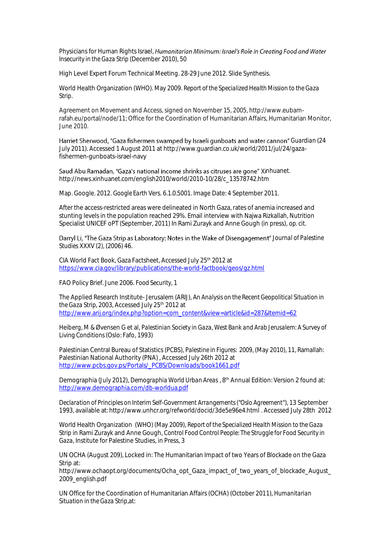Physicians for Human Rights Israel, Humanitarian Minimum: Israel's Role in Creating Food and Water *Insecurity in the Gaza Strip* (December 2010), 50

High Level Expert Forum Technical Meeting. 28-29 June 2012. Slide Synthesis.

World Health Organization (WHO). May 2009. *Report of the Specialized Health Mission to the Gaza Strip*.

Agreement on Movement and Access, signed on November 15, 2005, http://www.eubamrafah.eu/portal/node/11; Office for the Coordination of Humanitarian Affairs, Humanitarian Monitor, June 2010.

Harriet Sherwood, "Gaza fishermen swamped by Israeli gunboats and water cannon" Guardian (24 July 2011). Accessed 1 August 2011 at http://www.guardian.co.uk/world/2011/jul/24/gazafishermen-gunboats-israel-navy

Saud Abu Ramadan, "Gaza's national income shrinks as citruses are gone" Xinhuanet. http://news.xinhuanet.com/english2010/world/2010-10/28/c\_13578742.htm

Map. Google. 2012. *Google Earth* Vers. 6.1.0.5001. Image Date: 4 September 2011.

After the access-restricted areas were delineated in North Gaza, rates of anemia increased and stunting levels in the population reached 29%. Email interview with Najwa Rizkallah, Nutrition Specialist UNICEF oPT (September, 2011) In Rami Zurayk and Anne Gough (in press), *op. cit.*

Darryl Li, "The Gaza Strip as Laboratory: Notes in the Wake of Disengagement" Journal of Palestine *Studies* XXXV (2), (2006) 46.

CIA World Fact Book, Gaza Factsheet, Accessed July 25<sup>th</sup> 2012 at <https://www.cia.gov/library/publications/the-world-factbook/geos/gz.html>

FAO Policy Brief. June 2006. *Food Security*, 1

The Applied Research Institute- Jerusalem (ARIJ), *An Analysis on the Recent Geopolitical Situation in the Gaza Strip,* 2003, Accessed July 25th 2012 at [http://www.arij.org/index.php?option=com\\_content&view=article&id=287&Itemid=62](http://www.arij.org/index.php?option=com_content&view=article&id=287&Itemid=62)

Heiberg, M & Øvensen G et al, *Palestinian Society in Gaza, West Bank and Arab Jerusalem: A Survey of Living Conditions* (Oslo: Fafo, 1993)

Palestinian Central Bureau of Statistics (PCBS), *Palestine in Figures: 2009*, (May 2010), 11, Ramallah: Palestinian National Authority (PNA) , Accessed July 26th 2012 at [http://www.pcbs.gov.ps/Portals/\\_PCBS/Downloads/book1661.pdf](http://www.pcbs.gov.ps/Portals/_PCBS/Downloads/book1661.pdf)

Demographia (July 2012), *Demographia World Urban Areas* , 8th Annual Edition: Version 2 found at: <http://www.demographia.com/db-worldua.pdf>

*Declaration of Principles on Interim Self-Government Arrangements ("Oslo Agreement*"), 13 September 1993, available at: http://www.unhcr.org/refworld/docid/3de5e96e4.html . Accessed July 28th 2012

World Health Organization (WHO) (May 2009), *Report of the Specialized Health Mission to the Gaza Strip* in Rami Zurayk and Anne Gough, *Control Food Control People: The Struggle for Food Security in Gaza*, Institute for Palestine Studies, in Press, 3

UN OCHA (August 209), Locked in: The Humanitarian Impact of two Years of Blockade on the Gaza Strip at:

http://www.ochaopt.org/documents/Ocha\_opt\_Gaza\_impact\_of\_two\_years\_of\_blockade\_August\_ 2009\_english.pdf

UN Office for the Coordination of Humanitarian Affairs (OCHA) (October 2011), *Humanitarian Situation in the Gaza Strip*,at: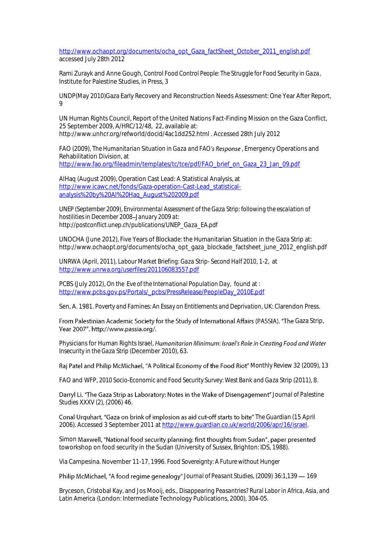[http://www.ochaopt.org/documents/ocha\\_opt\\_Gaza\\_factSheet\\_October\\_2011\\_english.pdf](http://www.ochaopt.org/documents/ocha_opt_Gaza_factSheet_October_2011_english.pdf) accessed July 28th 2012

Rami Zurayk and Anne Gough, *Control Food Control People: The Struggle for Food Security in Gaza*, Institute for Palestine Studies, in Press, 3

UNDP(May 2010)Gaza Early Recovery and Reconstruction Needs Assessment: One Year After Report, 9

UN Human Rights Council, Report of the United Nations Fact-Finding Mission on the Gaza Conflict, 25 September 2009, A/HRC/12/48, 22, available at: http://www.unhcr.org/refworld/docid/4ac1dd252.html . Accessed 28th July 2012

FAO (2009), *The Humanitarian Situation in Gaza and FAO's Response*, Emergency Operations and Rehabilitation Division, at [http://www.fao.org/fileadmin/templates/tc/tce/pdf/FAO\\_brief\\_on\\_Gaza\\_23\\_Jan\\_09.pdf](http://www.fao.org/fileadmin/templates/tc/tce/pdf/FAO_brief_on_Gaza_23_Jan_09.pdf)

AlHaq (August 2009), Operation Cast Lead: A Statistical Analysis, at [http://www.icawc.net/fonds/Gaza-operation-Cast-Lead\\_statistical](http://www.icawc.net/fonds/Gaza-operation-Cast-Lead_statistical-analysis%20by%20Al%20Haq_August%202009.pdf)[analysis%20by%20Al%20Haq\\_August%202009.pdf](http://www.icawc.net/fonds/Gaza-operation-Cast-Lead_statistical-analysis%20by%20Al%20Haq_August%202009.pdf)

*UNEP (September 2009), Environmental Assessment of the Gaza Strip: following the escalation of hostilities in December 2008 January 2009 at: http://postconflict.unep.ch/publications/UNEP\_Gaza\_EA.pdf*

UNOCHA (June 2012), Five Years of Blockade: the Humanitarian Situation in the Gaza Strip at: http://www.ochaopt.org/documents/ocha\_opt\_gaza\_blockade\_factsheet\_june\_2012\_english.pdf

UNRWA (April, 2011), *Labour Market Briefing: Gaza Strip- Second Half 2010*, 1-2, at <http://www.unrwa.org/userfiles/201106083557.pdf>

PCBS (July 2012), *On the Eve of the International Population Day*, found at : [http://www.pcbs.gov.ps/Portals/\\_pcbs/PressRelease/PeopleDay\\_2010E.pdf](http://www.pcbs.gov.ps/Portals/_pcbs/PressRelease/PeopleDay_2010E.pdf)

Sen, A. 1981. *Poverty and Famines: An Essay on Entitlements and Deprivation*, UK: Clarendon Press.

From Palestinian Academic Society for the Study of International Affairs (PASSIA). "The Gaza Strip, Year 2007". http://www.passia.org/.

Physicians for Human Rights Israel, Humanitarian Minimum: Israel's Role in Creating Food and Water *Insecurity in the Gaza Strip* (December 2010), 63.

*Monthly Review* 32 (2009), 13

FAO and WFP, 2010 Socio-Economic and Food Security Survey: West Bank and Gaza Strip (2011), 8.

Darryl Li, "The Gaza Strip as Laboratory: Notes in the Wake of Disengagement" Journal of Palestine *Studies* XXXV (2), (2006) 46.

Conal Urguhart, "Gaza on brink of implosion as aid cut-off starts to bite" The Guardian (15 April 2006). Accessed 3 September 2011 at [http://www.guardian.co.uk/world/2006/apr/16/israel.](http://www.guardian.co.uk/world/2006/apr/16/israel)

Simon Maxwell, "National food security planning: first thoughts from Sudan", paper presented toworkshop on food security in the Sudan (University of Sussex, Brighton: IDS, 1988).

Via Campesina. November 11-17, 1996. *Food Sovereignty: A Future without Hunger*

Philip McMichael, "A food regime genealogy" Journal of Peasant Studies, (2009) 36:1,139 - 169

Bryceson, Cristobal Kay, and Jos Mooij, eds., *Disappearing Peasantries? Rural Labor in Africa, Asia, and Latin America* (London: Intermediate Technology Publications, 2000), 304-05.